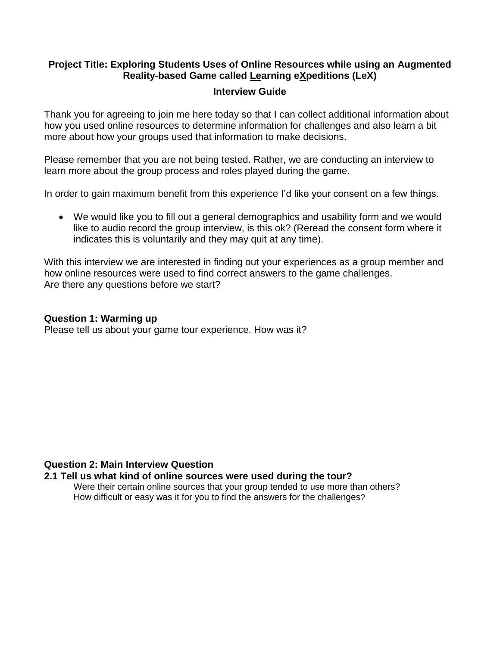# **Project Title: Exploring Students Uses of Online Resources while using an Augmented Reality-based Game called Learning eXpeditions (LeX)**

### **Interview Guide**

Thank you for agreeing to join me here today so that I can collect additional information about how you used online resources to determine information for challenges and also learn a bit more about how your groups used that information to make decisions.

Please remember that you are not being tested. Rather, we are conducting an interview to learn more about the group process and roles played during the game.

In order to gain maximum benefit from this experience I'd like your consent on a few things.

 We would like you to fill out a general demographics and usability form and we would like to audio record the group interview, is this ok? (Reread the consent form where it indicates this is voluntarily and they may quit at any time).

With this interview we are interested in finding out your experiences as a group member and how online resources were used to find correct answers to the game challenges. Are there any questions before we start?

## **Question 1: Warming up**

Please tell us about your game tour experience. How was it?

## **Question 2: Main Interview Question**

## **2.1 Tell us what kind of online sources were used during the tour?**

Were their certain online sources that your group tended to use more than others? How difficult or easy was it for you to find the answers for the challenges?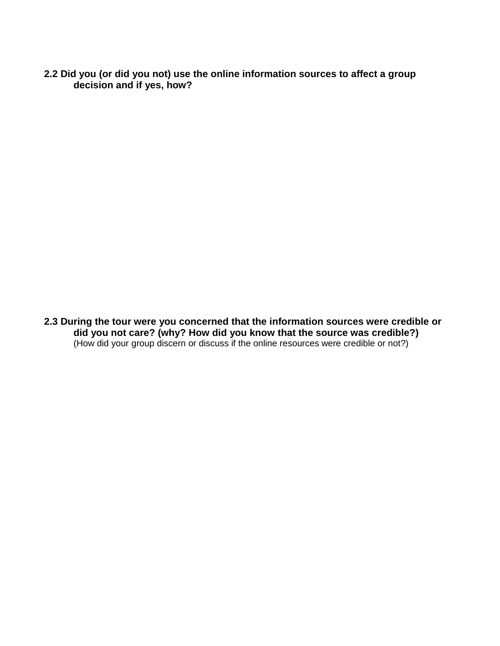**2.2 Did you (or did you not) use the online information sources to affect a group decision and if yes, how?**

**2.3 During the tour were you concerned that the information sources were credible or did you not care? (why? How did you know that the source was credible?)** (How did your group discern or discuss if the online resources were credible or not?)